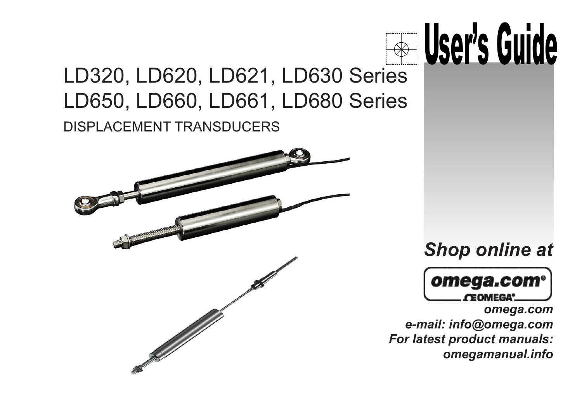

### LD320, LD620, LD621, LD630 Series DISPLACEMENT TRANSDUCERS LD650, LD660, LD661, LD680 Series



### *Shop online at*



*omega.com e-mail: info@omega.com For latest product manuals: omegamanual.info*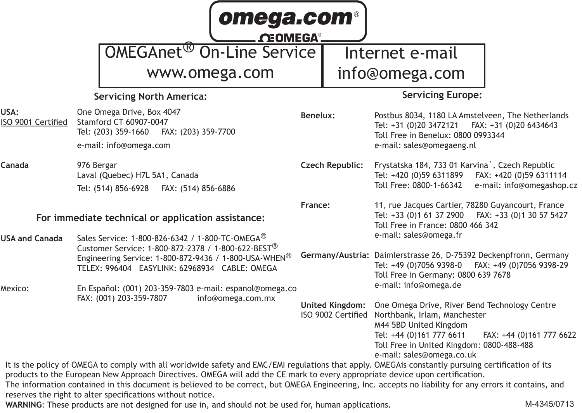| omega.com®<br><b>NEOMEGA®</b>                                                                                                              |                                                                                                                                                                                                                                                                                                                                                                                                                                                                                                                                                                                                                    |          |                        |                                                                                                                                                                                                                                                          |  |  |  |
|--------------------------------------------------------------------------------------------------------------------------------------------|--------------------------------------------------------------------------------------------------------------------------------------------------------------------------------------------------------------------------------------------------------------------------------------------------------------------------------------------------------------------------------------------------------------------------------------------------------------------------------------------------------------------------------------------------------------------------------------------------------------------|----------|------------------------|----------------------------------------------------------------------------------------------------------------------------------------------------------------------------------------------------------------------------------------------------------|--|--|--|
|                                                                                                                                            | OMEGAnet <sup>®</sup> On-Line Service                                                                                                                                                                                                                                                                                                                                                                                                                                                                                                                                                                              |          |                        | Internet e-mail                                                                                                                                                                                                                                          |  |  |  |
|                                                                                                                                            | www.omega.com                                                                                                                                                                                                                                                                                                                                                                                                                                                                                                                                                                                                      |          |                        | info@omega.com                                                                                                                                                                                                                                           |  |  |  |
|                                                                                                                                            | Servicing North America:                                                                                                                                                                                                                                                                                                                                                                                                                                                                                                                                                                                           |          |                        | <b>Servicing Europe:</b>                                                                                                                                                                                                                                 |  |  |  |
| USA:<br>ISO 9001 Certified                                                                                                                 | One Omega Drive, Box 4047<br>Stamford CT 60907-0047<br>Tel: (203) 359-1660  FAX: (203) 359-7700<br>e-mail: info@omega.com                                                                                                                                                                                                                                                                                                                                                                                                                                                                                          | Benelux: |                        | Postbus 8034, 1180 LA Amstelveen, The Netherlands<br>Tel: +31 (0)20 3472121   FAX: +31 (0)20 6434643<br>Toll Free in Benelux: 0800 0993344<br>e-mail: sales@omegaeng.nl                                                                                  |  |  |  |
| Canada                                                                                                                                     | 976 Bergar<br>Laval (Quebec) H7L 5A1, Canada<br>Tel: (514) 856-6928   FAX: (514) 856-6886                                                                                                                                                                                                                                                                                                                                                                                                                                                                                                                          |          | Czech Republic:        | Frystatska 184, 733 01 Karvina <sup>'</sup> , Czech Republic<br>FAX: +420 (0)59 6311114<br>Tel: +420 (0)59 6311899<br>Toll Free: 0800-1-66342<br>e-mail: info@omegashop.cz                                                                               |  |  |  |
| For immediate technical or application assistance:<br>Sales Service: 1-800-826-6342 / 1-800-TC-OMEGA <sup>®</sup><br><b>USA and Canada</b> |                                                                                                                                                                                                                                                                                                                                                                                                                                                                                                                                                                                                                    | France:  |                        | 11, rue Jacques Cartier, 78280 Guyancourt, France<br>Tel: +33 (0)1 61 37 2900<br>FAX: +33 (0)1 30 57 5427<br>Toll Free in France: 0800 466 342<br>e-mail: sales@omega.fr                                                                                 |  |  |  |
|                                                                                                                                            | Customer Service: 1-800-872-2378 / 1-800-622-BEST <sup>®</sup><br>Engineering Service: 1-800-872-9436 / 1-800-USA-WHEN <sup>®</sup><br>TELEX: 996404 EASYLINK: 62968934 CABLE: OMEGA                                                                                                                                                                                                                                                                                                                                                                                                                               |          |                        | Germany/Austria: Daimlerstrasse 26, D-75392 Deckenpfronn, Germany<br>Tel: +49 (0)7056 9398-0   FAX: +49 (0)7056 9398-29<br>Toll Free in Germany: 0800 639 7678                                                                                           |  |  |  |
| Mexico:                                                                                                                                    | En Español: (001) 203-359-7803 e-mail: espanol@omega.co<br>FAX: (001) 203-359-7807<br>info@omega.com.mx                                                                                                                                                                                                                                                                                                                                                                                                                                                                                                            |          | <b>United Kingdom:</b> | e-mail: info@omega.de<br>One Omega Drive, River Bend Technology Centre<br>ISO 9002 Certified Northbank, Irlam, Manchester<br>M44 5BD United Kingdom<br>Tel: +44 (0)161 777 6611<br>FAX: +44 (0)161 777 6622<br>Toll Free in United Kingdom: 0800-488-488 |  |  |  |
|                                                                                                                                            | It is the policy of OMEGA to comply with all worldwide safety and EMC/EMI regulations that apply. OMEGAis constantly pursuing certification of its<br>products to the European New Approach Directives. OMEGA will add the CE mark to every appropriate device upon certification.<br>The information contained in this document is believed to be correct, but OMEGA Engineering, Inc. accepts no liability for any errors it contains, and<br>reserves the right to alter specifications without notice.<br>WARNING: These products are not designed for use in, and should not be used for, human applications. |          |                        | e-mail: sales@omega.co.uk<br>M-4345/0713                                                                                                                                                                                                                 |  |  |  |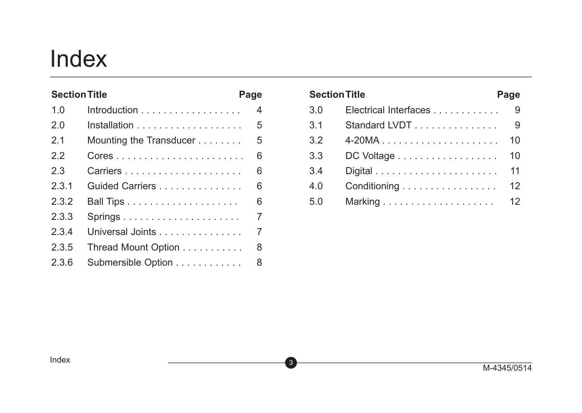## Index

| <b>Section Title</b> |                                                    | Page |
|----------------------|----------------------------------------------------|------|
| 1.0                  | $Introduction \dots \dots \dots \dots \dots \dots$ | 4    |
| 20                   |                                                    | 5    |
| 2.1                  | Mounting the Transducer                            | 5    |
| 22                   |                                                    | 6    |
| 23                   | Carriers                                           | 6    |
| 231                  | Guided Carriers                                    | 6    |
| 232                  |                                                    | 6    |
| 2.3.3                | $Springs$                                          | 7    |
| 234                  | Universal Joints                                   | 7    |
| 2.3.5                | Thread Mount Option                                | 8    |
| 2.3.6                | Submersible Option                                 | 8    |

| <b>Section Title</b> |                       | Page |
|----------------------|-----------------------|------|
| 3.0                  | Electrical Interfaces | 9    |
| 3.1                  | Standard LVDT         | 9    |
| 3.2                  |                       | 10   |
| 3.3                  | DC Voltage            | 10   |
| 3.4                  |                       | 11   |
| 4.0                  | Conditioning          | 12   |
| 5.0                  |                       | 12   |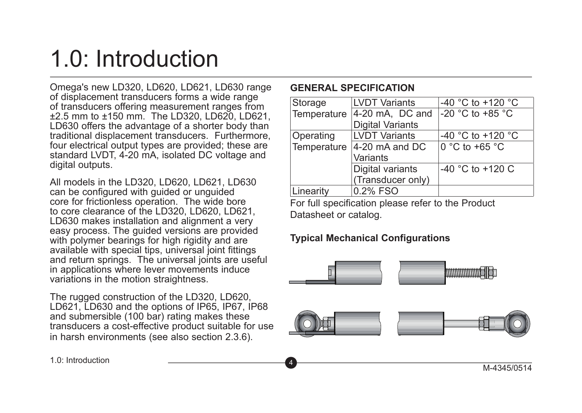# 1.0: Introduction

Omega's new LD320, LD620, LD621, LD630 range of displacement transducers forms a wide range of transducers offering measurement ranges from ±2.5 mm to ±150 mm. The LD320, LD620, LD621, LD630 offers the advantage of a shorter body than traditional displacement transducers. Furthermore, four electrical output types are provided; these are standard LVDT, 4-20 mA, isolated DC voltage and digital outputs.

All models in the LD320, LD620, LD621, LD630 can be configured with guided or unguided core for frictionless operation. The wide bore to core clearance of the LD320, LD620, LD621, LD630 makes installation and alignment a very easy process. The guided versions are provided with polymer bearings for high rigidity and are available with special tips, universal joint fittings and return springs. The universal joints are useful in applications where lever movements induce variations in the motion straightness.

The rugged construction of the LD320, LD620, LD621, LD630 and the options of IP65, IP67, IP68 and submersible (100 bar) rating makes these transducers a cost-effective product suitable for use in harsh environments (see also section 2.3.6).

#### **GENERAL SPECIFICATION**

| Storage                                  | <b>LVDT Variants</b>    | $-40$ °C to $+120$ °C                |
|------------------------------------------|-------------------------|--------------------------------------|
| Temperature                              | $ 4-20$ mA, DC and      | -20 $^{\circ}$ C to +85 $^{\circ}$ C |
|                                          | <b>Digital Variants</b> |                                      |
| Operating                                | <b>LVDT Variants</b>    | -40 °C to +120 °C                    |
| Temperature<br>$ 4-20 \text{ mA}$ and DC |                         | 0 °C to +65 °C                       |
|                                          | Variants                |                                      |
|                                          | Digital variants        | $-40$ °C to $+120$ C                 |
|                                          | (Transducer only)       |                                      |
| Linearity                                | 0.2% FSO                |                                      |

For full specification please refer to the Product Datasheet or catalog.

#### **Typical Mechanical Configurations**

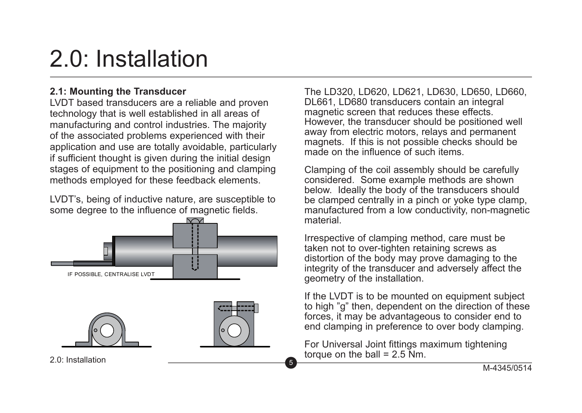# 2.0: Installation

#### **2.1: Mounting the Transducer**

LVDT based transducers are a reliable and proven technology that is well established in all areas of manufacturing and control industries. The majority of the associated problems experienced with their application and use are totally avoidable, particularly if sufficient thought is given during the initial design stages of equipment to the positioning and clamping methods employed for these feedback elements.

LVDT's, being of inductive nature, are susceptible to some degree to the influence of magnetic fields.



The LD320, LD620, LD621, LD630, LD650, LD660, DL661, LD680 transducers contain an integral magnetic screen that reduces these effects However, the transducer should be positioned well away from electric motors, relays and permanent magnets. If this is not possible checks should be made on the influence of such items.

Clamping of the coil assembly should be carefully considered. Some example methods are shown below. Ideally the body of the transducers should be clamped centrally in a pinch or voke type clamp. manufactured from a low conductivity, non-magnetic material.

Irrespective of clamping method, care must be taken not to over-tighten retaining screws as distortion of the body may prove damaging to the integrity of the transducer and adversely affect the geometry of the installation.

If the LVDT is to be mounted on equipment subject to high "g" then, dependent on the direction of these forces, it may be advantageous to consider end to end clamping in preference to over body clamping.

For Universal Joint fittings maximum tightening torque on the ball =  $2.5$  Nm.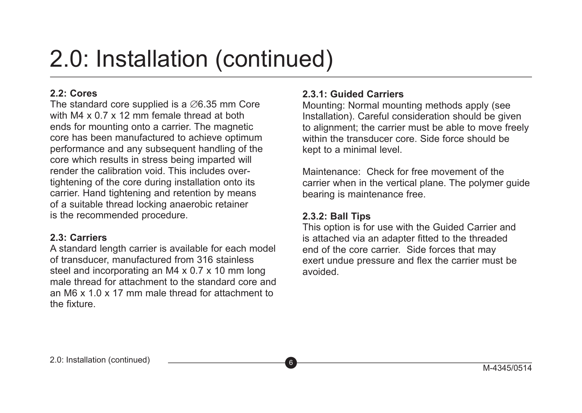## 2.0: Installation (continued)

#### **2.2: Cores**

The standard core supplied is a ∅6.35 mm Core with M4 x 0.7 x 12 mm female thread at both ends for mounting onto a carrier. The magnetic core has been manufactured to achieve optimum performance and any subsequent handling of the core which results in stress being imparted will render the calibration void. This includes overtightening of the core during installation onto its carrier. Hand tightening and retention by means of a suitable thread locking anaerobic retainer is the recommended procedure.

#### **2.3: Carriers**

A standard length carrier is available for each model of transducer, manufactured from 316 stainless steel and incorporating an M4 x 0.7 x 10 mm long male thread for attachment to the standard core and an M6 x 1.0 x 17 mm male thread for attachment to the fixture.

#### **2.3.1: Guided Carriers**

Mounting: Normal mounting methods apply (see Installation). Careful consideration should be given to alignment; the carrier must be able to move freely within the transducer core. Side force should be kept to a minimal level.

Maintenance: Check for free movement of the carrier when in the vertical plane. The polymer guide bearing is maintenance free.

#### **2.3.2: Ball Tips**

This option is for use with the Guided Carrier and is attached via an adapter fitted to the threaded end of the core carrier. Side forces that may exert undue pressure and flex the carrier must be avoided.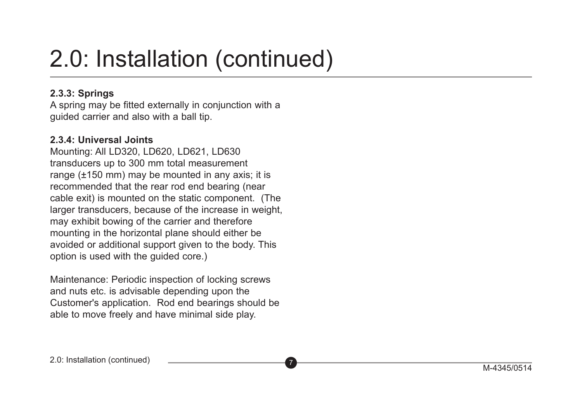# 2.0: Installation (continued)

#### **2.3.3: Springs**

A spring may be fitted externally in conjunction with a guided carrier and also with a ball tip.

#### **2.3.4: Universal Joints**

Mounting: All LD320, LD620, LD621, LD630 transducers up to 300 mm total measurement range (±150 mm) may be mounted in any axis; it is recommended that the rear rod end bearing (near cable exit) is mounted on the static component. (The larger transducers, because of the increase in weight. may exhibit bowing of the carrier and therefore mounting in the horizontal plane should either be avoided or additional support given to the body. This option is used with the guided core.)

Maintenance: Periodic inspection of locking screws and nuts etc. is advisable depending upon the Customer's application. Rod end bearings should be able to move freely and have minimal side play.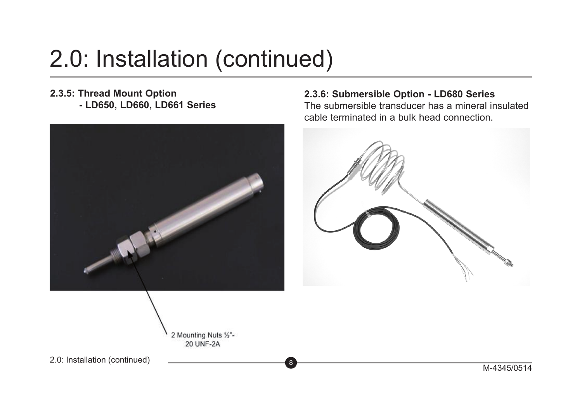# 2.0: Installation (continued)

#### **2.3.5: Thread Mount Option - LD650, LD660, LD661 Series**



#### **2.3.6: Submersible Option - LD680 Series**

The submersible transducer has a mineral insulated cable terminated in a bulk head connection.



2 Mounting Nuts 1/2"-**20 UNF-2A** 

2.0: Installation (continued) 2.0: Installation (continued) 2.0: Installation (continued)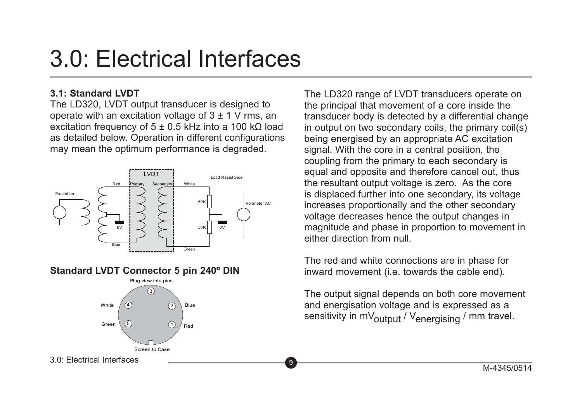## 3.0: Electrical Interfaces

#### **3.1: Standard LVDT**

The LD320, LVDT output transducer is designed to operate with an excitation voltage of  $3 + 1$  V rms, an excitation frequency of 5 ± 0.5 kHz into a 100 kΩ load as detailed below. Operation in different configurations may mean the optimum performance is degraded.



#### **Standard LVDT Connector 5 pin 240º DIN**



M-4345/0514 <sup>9</sup> 3.0: Electrical Interfaces

The LD320 range of LVDT transducers operate on the principal that movement of a core inside the transducer body is detected by a differential change in output on two secondary coils, the primary coil(s) being energised by an appropriate AC excitation signal. With the core in a central position, the coupling from the primary to each secondary is equal and opposite and therefore cancel out, thus the resultant output voltage is zero. As the core is displaced further into one secondary, its voltage increases proportionally and the other secondary voltage decreases hence the output changes in magnitude and phase in proportion to movement in either direction from null.

The red and white connections are in phase for inward movement (i.e. towards the cable end).

The output signal depends on both core movement and energisation voltage and is expressed as a sensitivity in mV $_{\text{output}}$  / V<sub>energising</sub> / mm travel.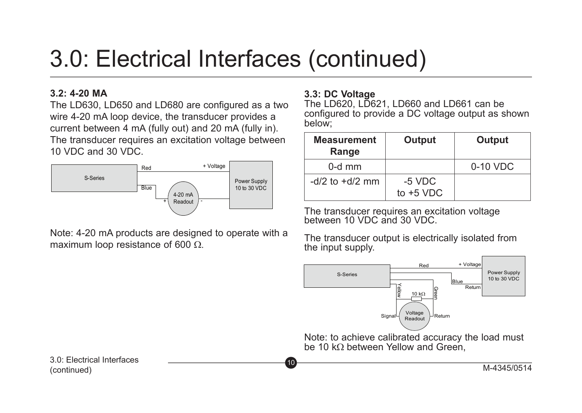# 3.0: Electrical Interfaces (continued)

#### **3.2: 4-20 MA**

The LD630, LD650 and LD680 are configured as a two wire 4-20 mA loop device, the transducer provides a current between 4 mA (fully out) and 20 mA (fully in). The transducer requires an excitation voltage between 10 VDC and 30 VDC.



Note: 4-20 mA products are designed to operate with a maximum loop resistance of 600  $\Omega$ .

#### **3.3: DC Voltage**

The LD620, LD621, LD660 and LD661 can be configured to provide a DC voltage output as shown below;

| <b>Measurement</b><br>Range | Output                  | Output     |
|-----------------------------|-------------------------|------------|
| $0-d$ mm                    |                         | $0-10$ VDC |
| $-d/2$ to $+d/2$ mm         | $-5$ VDC<br>to $+5$ VDC |            |

The transducer requires an excitation voltage between 10 VDC and 30 VDC.

The transducer output is electrically isolated from the input supply.



(continued)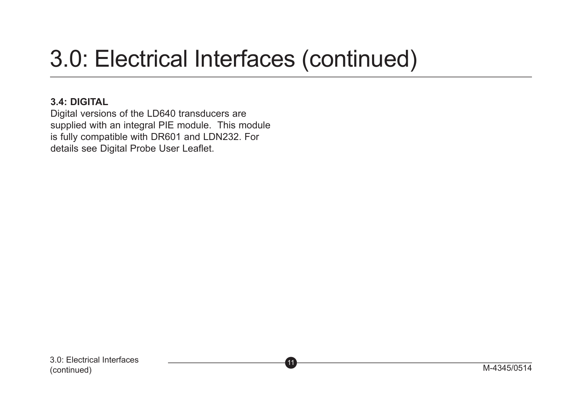# 3.0: Electrical Interfaces (continued)

#### **3.4: DIGITAL**

Digital versions of the LD640 transducers are supplied with an integral PIE module. This module is fully compatible with DR601 and LDN232. For details see Digital Probe User Leaflet.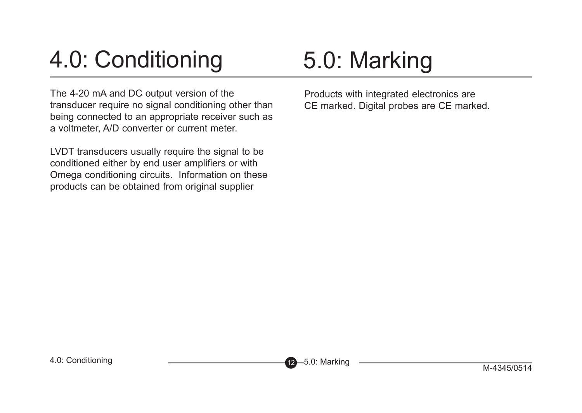# 4.0: Conditioning

The 4-20 mA and DC output version of the transducer require no signal conditioning other than being connected to an appropriate receiver such as a voltmeter, A/D converter or current meter.

LVDT transducers usually require the signal to be conditioned either by end user amplifiers or with Omega conditioning circuits. Information on these products can be obtained from original supplier

# 5.0: Marking

Products with integrated electronics are CE marked. Digital probes are CE marked.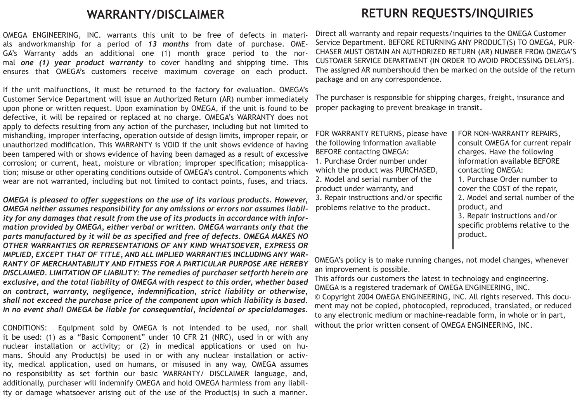#### WARRANTY/DISCLAIMER

OMEGA ENGINEERING, INC. warrants this unit to be free of defects in materials andworkmanship for a period of *13 months* from date of purchase. OME-GA's Warranty adds an additional one (1) month grace period to the normal *one (1) year product warranty* to cover handling and shipping time. This ensures that OMEGA's customers receive maximum coverage on each product.

If the unit malfunctions, it must be returned to the factory for evaluation. OMEGA's Customer Service Department will issue an Authorized Return (AR) number immediately upon phone or written request. Upon examination by OMEGA, if the unit is found to be defective, it will be repaired or replaced at no charge. OMEGA's WARRANTY does not apply to defects resulting from any action of the purchaser, including but not limited to mishandling, improper interfacing, operation outside of design limits, improper repair, or unauthorized modification. This WARRANTY is VOID if the unit shows evidence of having been tampered with or shows evidence of having been damaged as a result of excessive corrosion; or current, heat, moisture or vibration; improper specification; misapplication; misuse or other operating conditions outside of OMEGA's control. Components which wear are not warranted, including but not limited to contact points, fuses, and triacs.

*OMEGA is pleased to offer suggestions on the use of its various products. However, OMEGA neither assumes responsibility for any omissions or errors nor assumes liability for any damages that result from the use of its products in accordance with information provided by OMEGA, either verbal or written. OMEGA warrants only that the parts manufactured by it will be as specified and free of defects. OMEGA MAKES NO OTHER WARRANTIES OR REPRESENTATIONS OF ANY KIND WHATSOEVER, EXPRESS OR IMPLIED, EXCEPT THAT OF TITLE, AND ALL IMPLIED WARRANTIES INCLUDING ANY WAR-RANTY OF MERCHANTABILITY AND FITNESS FOR A PARTICULAR PURPOSE ARE HEREBY DISCLAIMED. LIMITATION OF LIABILITY: The remedies of purchaser setforth herein are exclusive, and the total liability of OMEGA with respect to this order, whether based on contract, warranty, negligence, indemnification, strict liability or otherwise, shall not exceed the purchase price of the component upon which liability is based. In no event shall OMEGA be liable for consequential, incidental or specialdamages.*

CONDITIONS: Equipment sold by OMEGA is not intended to be used, nor shall it be used: (1) as a "Basic Component" under 10 CFR 21 (NRC), used in or with any nuclear installation or activity; or (2) in medical applications or used on humans. Should any Product(s) be used in or with any nuclear installation or activity, medical application, used on humans, or misused in any way, OMEGA assumes no responsibility as set forthin our basic WARRANTY/ DISCLAIMER language, and, additionally, purchaser will indemnify OMEGA and hold OMEGA harmless from any liability or damage whatsoever arising out of the use of the Product(s) in such a manner.

### **RETURN REQUESTS/INQUIRIES**

Direct all warranty and repair requests/inquiries to the OMEGA Customer Service Department. BEFORE RETURNING ANY PRODUCT(S) TO OMEGA, PUR-CHASER MUST OBTAIN AN AUTHORIZED RETURN (AR) NUMBER FROM OMEGA'S CUSTOMER SERVICE DEPARTMENT (IN ORDER TO AVOID PROCESSING DELAYS). The assigned AR numbershould then be marked on the outside of the return package and on any correspondence.

The purchaser is responsible for shipping charges, freight, insurance and proper packaging to prevent breakage in transit.

FOR WARRANTY RETURNS, please have the following information available BEFORE contacting OMEGA: 1. Purchase Order number under which the product was PURCHASED 2. Model and serial number of the product under warranty, and 3. Repair instructions and/or specific problems relative to the product.

FOR NON-WARRANTY REPAIRS, consult OMEGA for current repair charges. Have the following information available BEFORE contacting OMEGA: 1. Purchase Order number to cover the COST of the repair, 2. Model and serial number of the product, and 3. Repair instructions and/or specific problems relative to the product.

OMEGA's policy is to make running changes, not model changes, whenever an improvement is possible.

This affords our customers the latest in technology and engineering. OMEGA is a registered trademark of OMEGA ENGINEERING, INC.

© Copyright 2004 OMEGA ENGINEERING, INC. All rights reserved. This document may not be copied, photocopied, reproduced, translated, or reduced to any electronic medium or machine-readable form, in whole or in part, without the prior written consent of OMEGA ENGINEERING. INC.